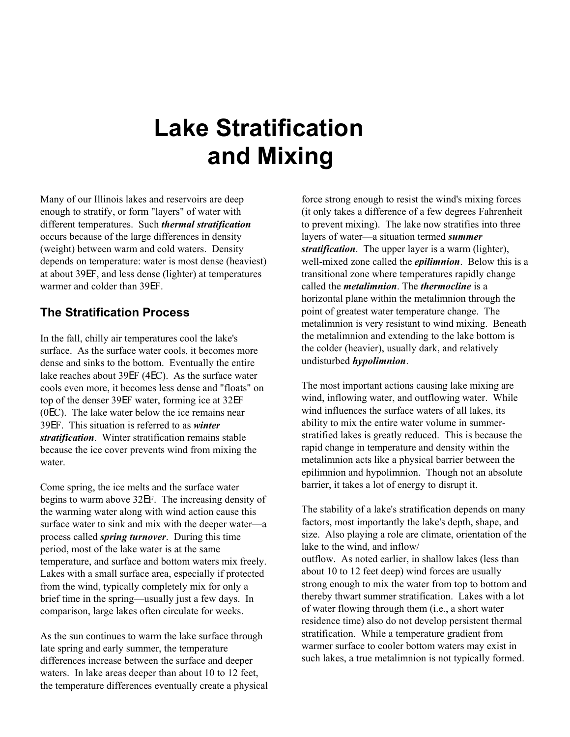# **Lake Stratification and Mixing**

Many of our Illinois lakes and reservoirs are deep enough to stratify, or form "layers" of water with different temperatures. Such *thermal stratification* occurs because of the large differences in density (weight) between warm and cold waters. Density depends on temperature: water is most dense (heaviest) at about 39EF, and less dense (lighter) at temperatures warmer and colder than 39EF.

## **The Stratification Process**

In the fall, chilly air temperatures cool the lake's surface. As the surface water cools, it becomes more dense and sinks to the bottom. Eventually the entire lake reaches about 39EF (4EC). As the surface water cools even more, it becomes less dense and "floats" on top of the denser 39EF water, forming ice at 32EF (0EC). The lake water below the ice remains near 39EF. This situation is referred to as *winter stratification*. Winter stratification remains stable because the ice cover prevents wind from mixing the water.

Come spring, the ice melts and the surface water begins to warm above 32EF. The increasing density of the warming water along with wind action cause this surface water to sink and mix with the deeper water—a process called *spring turnover*. During this time period, most of the lake water is at the same temperature, and surface and bottom waters mix freely. Lakes with a small surface area, especially if protected from the wind, typically completely mix for only a brief time in the spring—usually just a few days. In comparison, large lakes often circulate for weeks.

As the sun continues to warm the lake surface through late spring and early summer, the temperature differences increase between the surface and deeper waters. In lake areas deeper than about 10 to 12 feet, the temperature differences eventually create a physical force strong enough to resist the wind's mixing forces (it only takes a difference of a few degrees Fahrenheit to prevent mixing). The lake now stratifies into three layers of water—a situation termed *summer stratification*. The upper layer is a warm (lighter), well-mixed zone called the *epilimnion*. Below this is a transitional zone where temperatures rapidly change called the *metalimnion*. The *thermocline* is a horizontal plane within the metalimnion through the point of greatest water temperature change. The metalimnion is very resistant to wind mixing. Beneath the metalimnion and extending to the lake bottom is the colder (heavier), usually dark, and relatively undisturbed *hypolimnion*.

The most important actions causing lake mixing are wind, inflowing water, and outflowing water. While wind influences the surface waters of all lakes, its ability to mix the entire water volume in summerstratified lakes is greatly reduced. This is because the rapid change in temperature and density within the metalimnion acts like a physical barrier between the epilimnion and hypolimnion. Though not an absolute barrier, it takes a lot of energy to disrupt it.

The stability of a lake's stratification depends on many factors, most importantly the lake's depth, shape, and size. Also playing a role are climate, orientation of the lake to the wind, and inflow/ outflow. As noted earlier, in shallow lakes (less than about 10 to 12 feet deep) wind forces are usually strong enough to mix the water from top to bottom and thereby thwart summer stratification. Lakes with a lot of water flowing through them (i.e., a short water residence time) also do not develop persistent thermal stratification. While a temperature gradient from warmer surface to cooler bottom waters may exist in such lakes, a true metalimnion is not typically formed.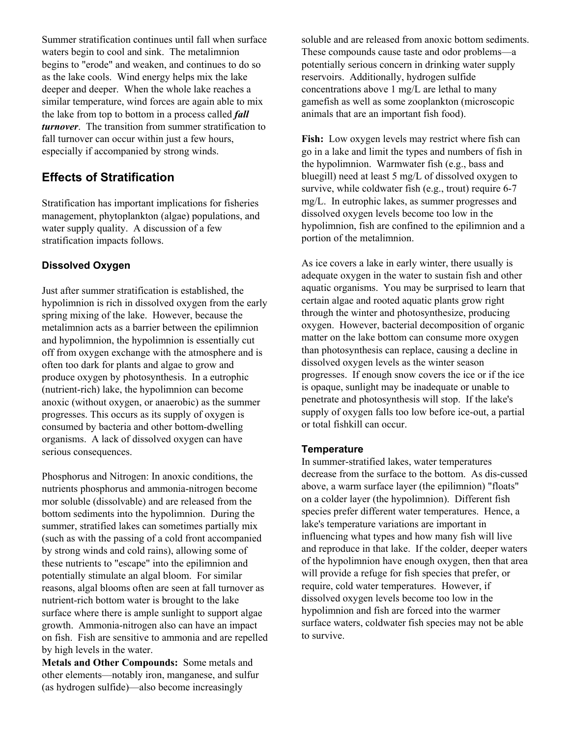Summer stratification continues until fall when surface waters begin to cool and sink. The metalimnion begins to "erode" and weaken, and continues to do so as the lake cools. Wind energy helps mix the lake deeper and deeper. When the whole lake reaches a similar temperature, wind forces are again able to mix the lake from top to bottom in a process called *fall turnover*. The transition from summer stratification to fall turnover can occur within just a few hours, especially if accompanied by strong winds.

# **Effects of Stratification**

Stratification has important implications for fisheries management, phytoplankton (algae) populations, and water supply quality. A discussion of a few stratification impacts follows.

#### **Dissolved Oxygen**

Just after summer stratification is established, the hypolimnion is rich in dissolved oxygen from the early spring mixing of the lake. However, because the metalimnion acts as a barrier between the epilimnion and hypolimnion, the hypolimnion is essentially cut off from oxygen exchange with the atmosphere and is often too dark for plants and algae to grow and produce oxygen by photosynthesis. In a eutrophic (nutrient-rich) lake, the hypolimnion can become anoxic (without oxygen, or anaerobic) as the summer progresses. This occurs as its supply of oxygen is consumed by bacteria and other bottom-dwelling organisms. A lack of dissolved oxygen can have serious consequences.

Phosphorus and Nitrogen: In anoxic conditions, the nutrients phosphorus and ammonia-nitrogen become mor soluble (dissolvable) and are released from the bottom sediments into the hypolimnion. During the summer, stratified lakes can sometimes partially mix (such as with the passing of a cold front accompanied by strong winds and cold rains), allowing some of these nutrients to "escape" into the epilimnion and potentially stimulate an algal bloom. For similar reasons, algal blooms often are seen at fall turnover as nutrient-rich bottom water is brought to the lake surface where there is ample sunlight to support algae growth. Ammonia-nitrogen also can have an impact on fish. Fish are sensitive to ammonia and are repelled by high levels in the water.

**Metals and Other Compounds:** Some metals and other elements—notably iron, manganese, and sulfur (as hydrogen sulfide)—also become increasingly

soluble and are released from anoxic bottom sediments. These compounds cause taste and odor problems—a potentially serious concern in drinking water supply reservoirs. Additionally, hydrogen sulfide concentrations above 1 mg/L are lethal to many gamefish as well as some zooplankton (microscopic animals that are an important fish food).

**Fish:** Low oxygen levels may restrict where fish can go in a lake and limit the types and numbers of fish in the hypolimnion. Warmwater fish (e.g., bass and bluegill) need at least 5 mg/L of dissolved oxygen to survive, while coldwater fish (e.g., trout) require 6-7 mg/L. In eutrophic lakes, as summer progresses and dissolved oxygen levels become too low in the hypolimnion, fish are confined to the epilimnion and a portion of the metalimnion.

As ice covers a lake in early winter, there usually is adequate oxygen in the water to sustain fish and other aquatic organisms. You may be surprised to learn that certain algae and rooted aquatic plants grow right through the winter and photosynthesize, producing oxygen. However, bacterial decomposition of organic matter on the lake bottom can consume more oxygen than photosynthesis can replace, causing a decline in dissolved oxygen levels as the winter season progresses. If enough snow covers the ice or if the ice is opaque, sunlight may be inadequate or unable to penetrate and photosynthesis will stop. If the lake's supply of oxygen falls too low before ice-out, a partial or total fishkill can occur.

#### **Temperature**

In summer-stratified lakes, water temperatures decrease from the surface to the bottom. As dis-cussed above, a warm surface layer (the epilimnion) "floats" on a colder layer (the hypolimnion).Different fish species prefer different water temperatures. Hence, a lake's temperature variations are important in influencing what types and how many fish will live and reproduce in that lake. If the colder, deeper waters of the hypolimnion have enough oxygen, then that area will provide a refuge for fish species that prefer, or require, cold water temperatures. However, if dissolved oxygen levels become too low in the hypolimnion and fish are forced into the warmer surface waters, coldwater fish species may not be able to survive.